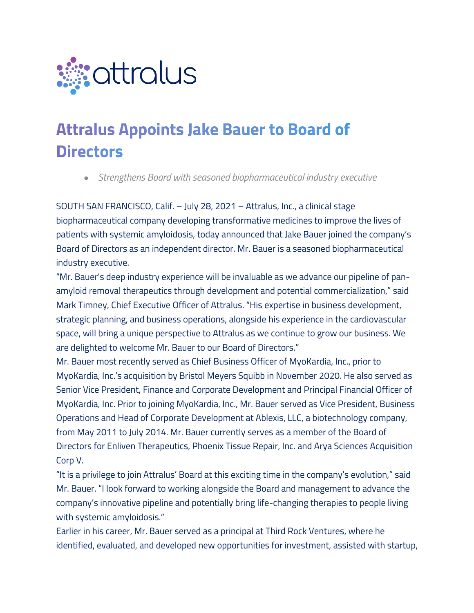

## **Attralus Appoints Jake Bauer to Board of Directors**

• *Strengthens Board with seasoned biopharmaceutical industry executive*

SOUTH SAN FRANCISCO, Calif. – July 28, 2021 – Attralus, Inc., a clinical stage biopharmaceutical company developing transformative medicines to improve the lives of patients with systemic amyloidosis, today announced that Jake Bauer joined the company's Board of Directors as an independent director. Mr. Bauer is a seasoned biopharmaceutical industry executive.

"Mr. Bauer's deep industry experience will be invaluable as we advance our pipeline of panamyloid removal therapeutics through development and potential commercialization," said Mark Timney, Chief Executive Officer of Attralus. "His expertise in business development, strategic planning, and business operations, alongside his experience in the cardiovascular space, will bring a unique perspective to Attralus as we continue to grow our business. We are delighted to welcome Mr. Bauer to our Board of Directors."

Mr. Bauer most recently served as Chief Business Officer of MyoKardia, Inc., prior to MyoKardia, Inc.'s acquisition by Bristol Meyers Squibb in November 2020. He also served as Senior Vice President, Finance and Corporate Development and Principal Financial Officer of MyoKardia, Inc. Prior to joining MyoKardia, Inc., Mr. Bauer served as Vice President, Business Operations and Head of Corporate Development at Ablexis, LLC, a biotechnology company, from May 2011 to July 2014. Mr. Bauer currently serves as a member of the Board of Directors for Enliven Therapeutics, Phoenix Tissue Repair, Inc. and Arya Sciences Acquisition Corp V.

"It is a privilege to join Attralus' Board at this exciting time in the company's evolution," said Mr. Bauer. "I look forward to working alongside the Board and management to advance the company's innovative pipeline and potentially bring life-changing therapies to people living with systemic amyloidosis."

Earlier in his career, Mr. Bauer served as a principal at Third Rock Ventures, where he identified, evaluated, and developed new opportunities for investment, assisted with startup,